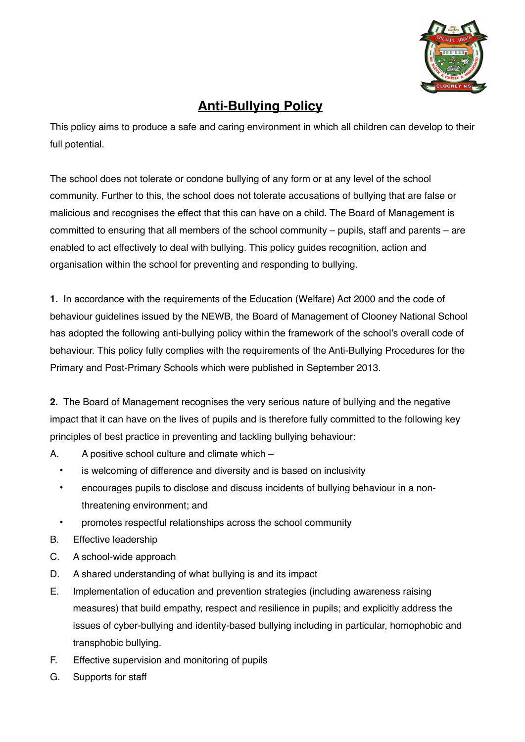

# **Anti-Bullying Policy**

This policy aims to produce a safe and caring environment in which all children can develop to their full potential.

The school does not tolerate or condone bullying of any form or at any level of the school community. Further to this, the school does not tolerate accusations of bullying that are false or malicious and recognises the effect that this can have on a child. The Board of Management is committed to ensuring that all members of the school community – pupils, staff and parents – are enabled to act effectively to deal with bullying. This policy guides recognition, action and organisation within the school for preventing and responding to bullying.

**1.** In accordance with the requirements of the Education (Welfare) Act 2000 and the code of behaviour guidelines issued by the NEWB, the Board of Management of Clooney National School has adopted the following anti-bullying policy within the framework of the school's overall code of behaviour. This policy fully complies with the requirements of the Anti-Bullying Procedures for the Primary and Post-Primary Schools which were published in September 2013.

**2.** The Board of Management recognises the very serious nature of bullying and the negative impact that it can have on the lives of pupils and is therefore fully committed to the following key principles of best practice in preventing and tackling bullying behaviour:

- A. A positive school culture and climate which
	- is welcoming of difference and diversity and is based on inclusivity
	- encourages pupils to disclose and discuss incidents of bullying behaviour in a nonthreatening environment; and
	- promotes respectful relationships across the school community
- B. Effective leadership
- C. A school-wide approach
- D. A shared understanding of what bullying is and its impact
- E. Implementation of education and prevention strategies (including awareness raising measures) that build empathy, respect and resilience in pupils; and explicitly address the issues of cyber-bullying and identity-based bullying including in particular, homophobic and transphobic bullying.
- F. Effective supervision and monitoring of pupils
- G. Supports for staff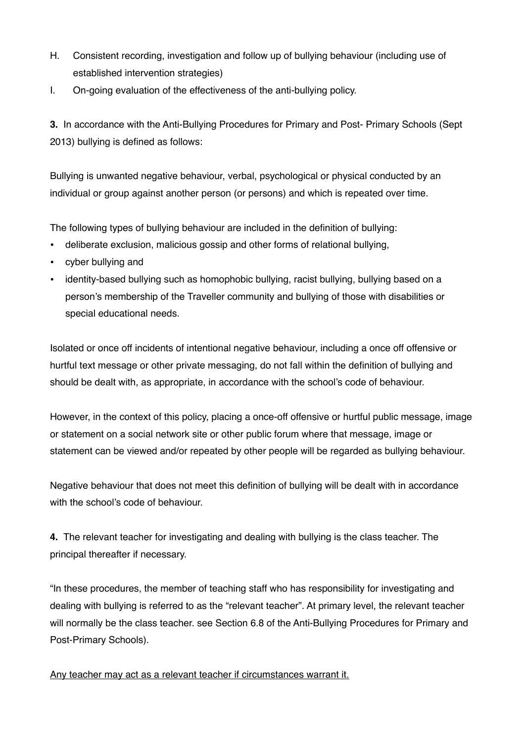- H. Consistent recording, investigation and follow up of bullying behaviour (including use of established intervention strategies)
- I. On-going evaluation of the effectiveness of the anti-bullying policy.

**3.** In accordance with the Anti-Bullying Procedures for Primary and Post- Primary Schools (Sept 2013) bullying is defined as follows:

Bullying is unwanted negative behaviour, verbal, psychological or physical conducted by an individual or group against another person (or persons) and which is repeated over time.

The following types of bullying behaviour are included in the definition of bullying:

- deliberate exclusion, malicious gossip and other forms of relational bullying,
- cyber bullying and
- identity-based bullying such as homophobic bullying, racist bullying, bullying based on a person's membership of the Traveller community and bullying of those with disabilities or special educational needs.

Isolated or once off incidents of intentional negative behaviour, including a once off offensive or hurtful text message or other private messaging, do not fall within the definition of bullying and should be dealt with, as appropriate, in accordance with the school's code of behaviour.

However, in the context of this policy, placing a once-off offensive or hurtful public message, image or statement on a social network site or other public forum where that message, image or statement can be viewed and/or repeated by other people will be regarded as bullying behaviour.

Negative behaviour that does not meet this definition of bullying will be dealt with in accordance with the school's code of behaviour.

**4.** The relevant teacher for investigating and dealing with bullying is the class teacher. The principal thereafter if necessary.

"In these procedures, the member of teaching staff who has responsibility for investigating and dealing with bullying is referred to as the "relevant teacher". At primary level, the relevant teacher will normally be the class teacher. see Section 6.8 of the Anti-Bullying Procedures for Primary and Post-Primary Schools).

Any teacher may act as a relevant teacher if circumstances warrant it.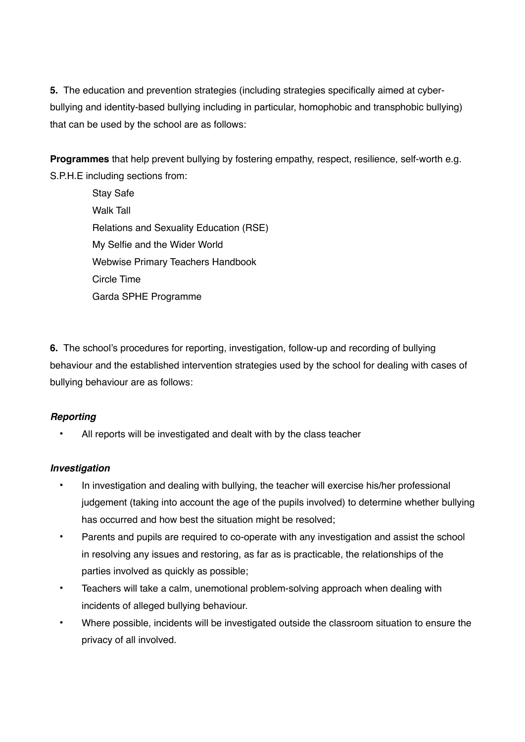**5.** The education and prevention strategies (including strategies specifically aimed at cyberbullying and identity-based bullying including in particular, homophobic and transphobic bullying) that can be used by the school are as follows:

**Programmes** that help prevent bullying by fostering empathy, respect, resilience, self-worth e.g. S.P.H.E including sections from:

> Stay Safe Walk Tall Relations and Sexuality Education (RSE) My Selfie and the Wider World Webwise Primary Teachers Handbook Circle Time Garda SPHE Programme

**6.** The school's procedures for reporting, investigation, follow-up and recording of bullying behaviour and the established intervention strategies used by the school for dealing with cases of bullying behaviour are as follows:

# *Reporting*

All reports will be investigated and dealt with by the class teacher

# *Investigation*

- In investigation and dealing with bullying, the teacher will exercise his/her professional judgement (taking into account the age of the pupils involved) to determine whether bullying has occurred and how best the situation might be resolved;
- Parents and pupils are required to co-operate with any investigation and assist the school in resolving any issues and restoring, as far as is practicable, the relationships of the parties involved as quickly as possible;
- Teachers will take a calm, unemotional problem-solving approach when dealing with incidents of alleged bullying behaviour.
- Where possible, incidents will be investigated outside the classroom situation to ensure the privacy of all involved.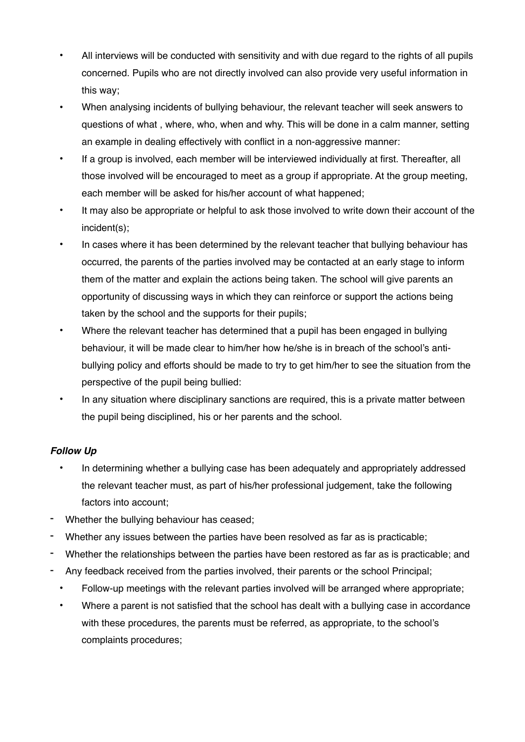- All interviews will be conducted with sensitivity and with due regard to the rights of all pupils concerned. Pupils who are not directly involved can also provide very useful information in this way;
- When analysing incidents of bullying behaviour, the relevant teacher will seek answers to questions of what , where, who, when and why. This will be done in a calm manner, setting an example in dealing effectively with conflict in a non-aggressive manner:
- If a group is involved, each member will be interviewed individually at first. Thereafter, all those involved will be encouraged to meet as a group if appropriate. At the group meeting, each member will be asked for his/her account of what happened;
- It may also be appropriate or helpful to ask those involved to write down their account of the incident(s);
- In cases where it has been determined by the relevant teacher that bullying behaviour has occurred, the parents of the parties involved may be contacted at an early stage to inform them of the matter and explain the actions being taken. The school will give parents an opportunity of discussing ways in which they can reinforce or support the actions being taken by the school and the supports for their pupils;
- Where the relevant teacher has determined that a pupil has been engaged in bullying behaviour, it will be made clear to him/her how he/she is in breach of the school's antibullying policy and efforts should be made to try to get him/her to see the situation from the perspective of the pupil being bullied:
- In any situation where disciplinary sanctions are required, this is a private matter between the pupil being disciplined, his or her parents and the school.

# *Follow Up*

- In determining whether a bullying case has been adequately and appropriately addressed the relevant teacher must, as part of his/her professional judgement, take the following factors into account;
- Whether the bullying behaviour has ceased;
- Whether any issues between the parties have been resolved as far as is practicable;
- Whether the relationships between the parties have been restored as far as is practicable; and
- Any feedback received from the parties involved, their parents or the school Principal;
	- Follow-up meetings with the relevant parties involved will be arranged where appropriate;
	- Where a parent is not satisfied that the school has dealt with a bullying case in accordance with these procedures, the parents must be referred, as appropriate, to the school's complaints procedures;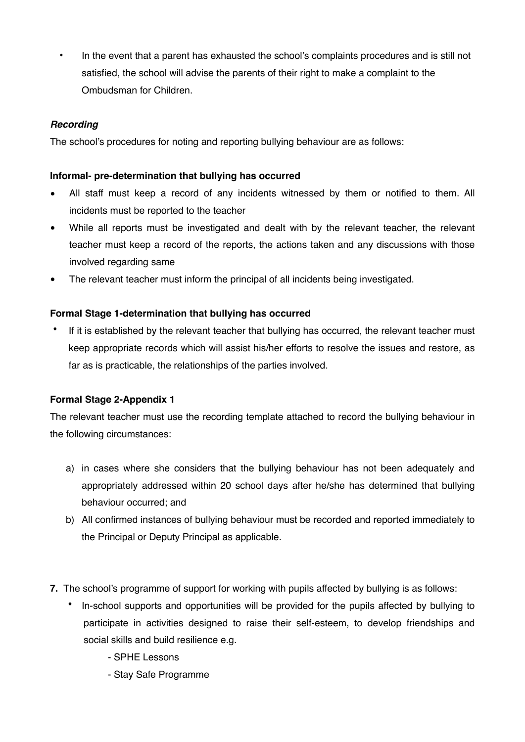• In the event that a parent has exhausted the school's complaints procedures and is still not satisfied, the school will advise the parents of their right to make a complaint to the Ombudsman for Children.

#### *Recording*

The school's procedures for noting and reporting bullying behaviour are as follows:

#### **Informal- pre-determination that bullying has occurred**

- All staff must keep a record of any incidents witnessed by them or notified to them. All incidents must be reported to the teacher
- While all reports must be investigated and dealt with by the relevant teacher, the relevant teacher must keep a record of the reports, the actions taken and any discussions with those involved regarding same
- The relevant teacher must inform the principal of all incidents being investigated.

#### **Formal Stage 1-determination that bullying has occurred**

If it is established by the relevant teacher that bullying has occurred, the relevant teacher must keep appropriate records which will assist his/her efforts to resolve the issues and restore, as far as is practicable, the relationships of the parties involved.

#### **Formal Stage 2-Appendix 1**

The relevant teacher must use the recording template attached to record the bullying behaviour in the following circumstances:

- a) in cases where she considers that the bullying behaviour has not been adequately and appropriately addressed within 20 school days after he/she has determined that bullying behaviour occurred; and
- b) All confirmed instances of bullying behaviour must be recorded and reported immediately to the Principal or Deputy Principal as applicable.
- **7.** The school's programme of support for working with pupils affected by bullying is as follows:
	- In-school supports and opportunities will be provided for the pupils affected by bullying to participate in activities designed to raise their self-esteem, to develop friendships and social skills and build resilience e.g.
		- SPHE Lessons
		- Stay Safe Programme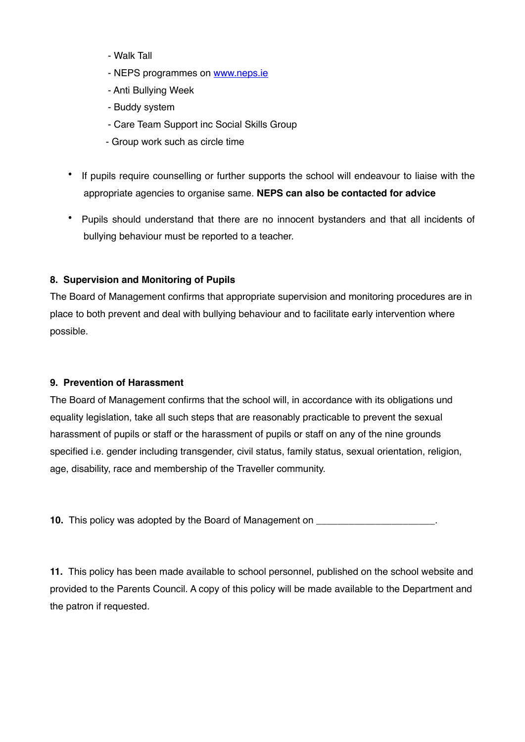- Walk Tall
- NEPS programmes on [www.neps.ie](http://www.neps.ie)
- Anti Bullying Week
- Buddy system
- Care Team Support inc Social Skills Group
- Group work such as circle time
- If pupils require counselling or further supports the school will endeavour to liaise with the appropriate agencies to organise same. **NEPS can also be contacted for advice**
- Pupils should understand that there are no innocent bystanders and that all incidents of bullying behaviour must be reported to a teacher.

# **8. Supervision and Monitoring of Pupils**

The Board of Management confirms that appropriate supervision and monitoring procedures are in place to both prevent and deal with bullying behaviour and to facilitate early intervention where possible.

# **9. Prevention of Harassment**

The Board of Management confirms that the school will, in accordance with its obligations und equality legislation, take all such steps that are reasonably practicable to prevent the sexual harassment of pupils or staff or the harassment of pupils or staff on any of the nine grounds specified i.e. gender including transgender, civil status, family status, sexual orientation, religion, age, disability, race and membership of the Traveller community.

**10.** This policy was adopted by the Board of Management on \_\_\_\_\_\_\_\_\_\_\_\_\_\_\_\_\_\_\_\_\_

**11.** This policy has been made available to school personnel, published on the school website and provided to the Parents Council. A copy of this policy will be made available to the Department and the patron if requested.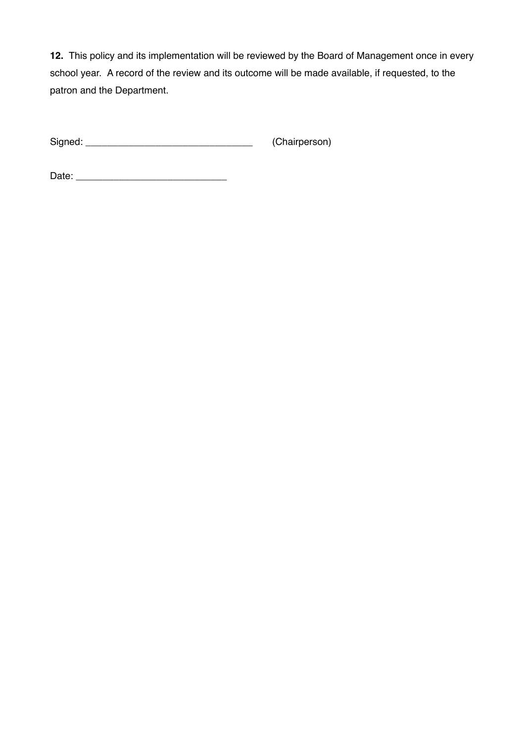**12.** This policy and its implementation will be reviewed by the Board of Management once in every school year. A record of the review and its outcome will be made available, if requested, to the patron and the Department.

Signed: \_\_\_\_\_\_\_\_\_\_\_\_\_\_\_\_\_\_\_\_\_\_\_\_\_\_\_\_\_\_\_ (Chairperson)

Date: \_\_\_\_\_\_\_\_\_\_\_\_\_\_\_\_\_\_\_\_\_\_\_\_\_\_\_\_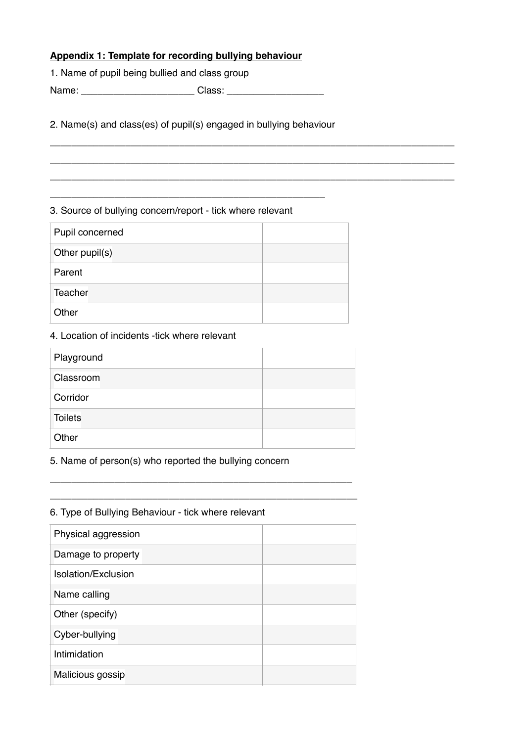# **Appendix 1: Template for recording bullying behaviour**

1. Name of pupil being bullied and class group

Name: \_\_\_\_\_\_\_\_\_\_\_\_\_\_\_\_\_\_\_\_\_ Class: \_\_\_\_\_\_\_\_\_\_\_\_\_\_\_\_\_\_

2. Name(s) and class(es) of pupil(s) engaged in bullying behaviour

\_\_\_\_\_\_\_\_\_\_\_\_\_\_\_\_\_\_\_\_\_\_\_\_\_\_\_\_\_\_\_\_\_\_\_\_\_\_\_\_\_\_\_\_\_\_\_\_\_\_\_\_\_\_\_\_\_\_\_\_\_\_\_\_\_\_\_\_\_\_\_\_\_\_\_ \_\_\_\_\_\_\_\_\_\_\_\_\_\_\_\_\_\_\_\_\_\_\_\_\_\_\_\_\_\_\_\_\_\_\_\_\_\_\_\_\_\_\_\_\_\_\_\_\_\_\_\_\_\_\_\_\_\_\_\_\_\_\_\_\_\_\_\_\_\_\_\_\_\_\_ \_\_\_\_\_\_\_\_\_\_\_\_\_\_\_\_\_\_\_\_\_\_\_\_\_\_\_\_\_\_\_\_\_\_\_\_\_\_\_\_\_\_\_\_\_\_\_\_\_\_\_\_\_\_\_\_\_\_\_\_\_\_\_\_\_\_\_\_\_\_\_\_\_\_\_

#### 3. Source of bullying concern/report - tick where relevant

\_\_\_\_\_\_\_\_\_\_\_\_\_\_\_\_\_\_\_\_\_\_\_\_\_\_\_\_\_\_\_\_\_\_\_\_\_\_\_\_\_\_\_\_\_\_\_\_\_\_\_

| Pupil concerned |  |  |  |  |
|-----------------|--|--|--|--|
| Other pupil(s)  |  |  |  |  |
| Parent          |  |  |  |  |
| Teacher         |  |  |  |  |
| Other           |  |  |  |  |

#### 4. Location of incidents -tick where relevant

| Playground     |  |
|----------------|--|
| Classroom      |  |
| Corridor       |  |
| <b>Toilets</b> |  |
| Other          |  |

\_\_\_\_\_\_\_\_\_\_\_\_\_\_\_\_\_\_\_\_\_\_\_\_\_\_\_\_\_\_\_\_\_\_\_\_\_\_\_\_\_\_\_\_\_\_\_\_\_\_\_\_\_\_\_\_ \_\_\_\_\_\_\_\_\_\_\_\_\_\_\_\_\_\_\_\_\_\_\_\_\_\_\_\_\_\_\_\_\_\_\_\_\_\_\_\_\_\_\_\_\_\_\_\_\_\_\_\_\_\_\_\_\_

#### 5. Name of person(s) who reported the bullying concern

# Physical aggression Damage to property Isolation/Exclusion Name calling Other (specify) Cyber-bullying Intimidation Malicious gossip

#### 6. Type of Bullying Behaviour - tick where relevant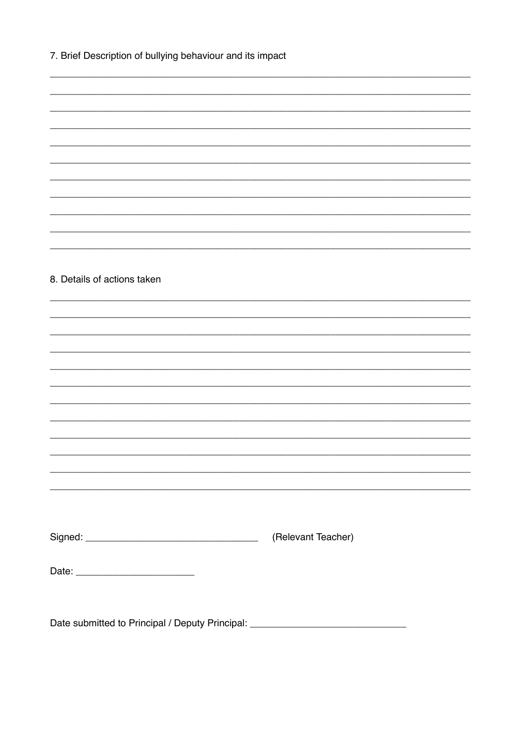|  |  | 7. Brief Description of bullying behaviour and its impact |  |  |  |  |
|--|--|-----------------------------------------------------------|--|--|--|--|
|--|--|-----------------------------------------------------------|--|--|--|--|

8. Details of actions taken

Date submitted to Principal / Deputy Principal: \_\_\_\_\_\_\_\_\_\_\_\_\_\_\_\_\_\_\_\_\_\_\_\_\_\_\_\_\_\_\_\_